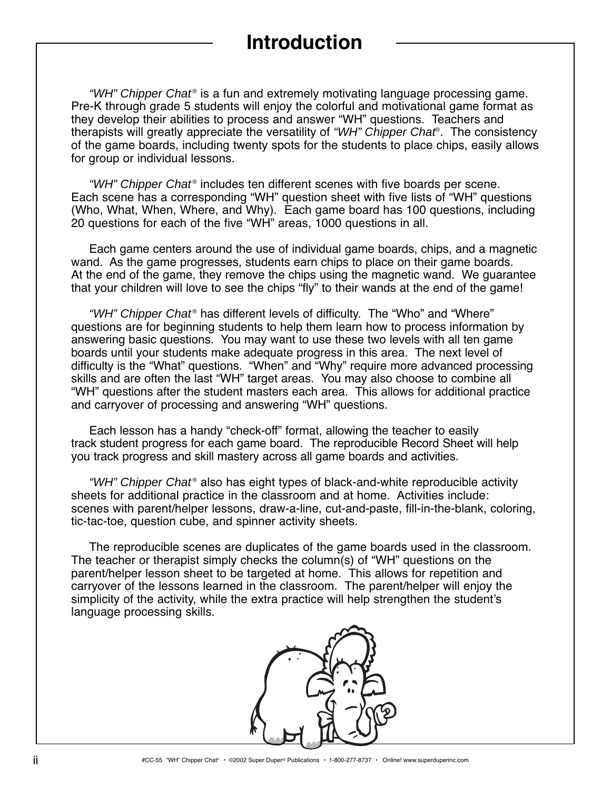## **Introduction**

"WH" Chipper Chat<sup>®</sup> is a fun and extremely motivating language processing game. Pre-K through grade 5 students will enjoy the colorful and motivational game format as they develop their abilities to process and answer "WH" questions. Teachers and therapists will greatly appreciate the versatility of *"WH" Chipper Chat*®. The consistency of the game boards, including twenty spots for the students to place chips, easily allows for group or individual lessons.

*"WH" Chipper Chat*<sup>®</sup> includes ten different scenes with five boards per scene. Each scene has a corresponding "WH" question sheet with five lists of "WH" questions (Who, What, When, Where, and Why). Each game board has 100 questions, including 20 questions for each of the five "WH" areas, 1000 questions in all.

Each game centers around the use of individual game boards, chips, and a magnetic wand. As the game progresses, students earn chips to place on their game boards. At the end of the game, they remove the chips using the magnetic wand. We guarantee that your children will love to see the chips "fly" to their wands at the end of the game!

"WH" Chipper Chat<sup>®</sup> has different levels of difficulty. The "Who" and "Where" questions are for beginning students to help them learn how to process information by answering basic questions. You may want to use these two levels with all ten game boards until your students make adequate progress in this area. The next level of difficulty is the "What" questions. "When" and "Why" require more advanced processing skills and are often the last "WH" target areas. You may also choose to combine all "WH" questions after the student masters each area. This allows for additional practice and carryover of processing and answering "WH" questions.

Each lesson has a handy "check-off" format, allowing the teacher to easily track student progress for each game board. The reproducible Record Sheet will help you track progress and skill mastery across all game boards and activities.

*"WH" Chipper Chat*<sup>®</sup> also has eight types of black-and-white reproducible activity sheets for additional practice in the classroom and at home. Activities include: scenes with parent/helper lessons, draw-a-line, cut-and-paste, fill-in-the-blank, coloring, tic-tac-toe, question cube, and spinner activity sheets.

The reproducible scenes are duplicates of the game boards used in the classroom. The teacher or therapist simply checks the column(s) of "WH" questions on the parent/helper lesson sheet to be targeted at home. This allows for repetition and carryover of the lessons learned in the classroom. The parent/helper will enjoy the simplicity of the activity, while the extra practice will help strengthen the student's language processing skills.

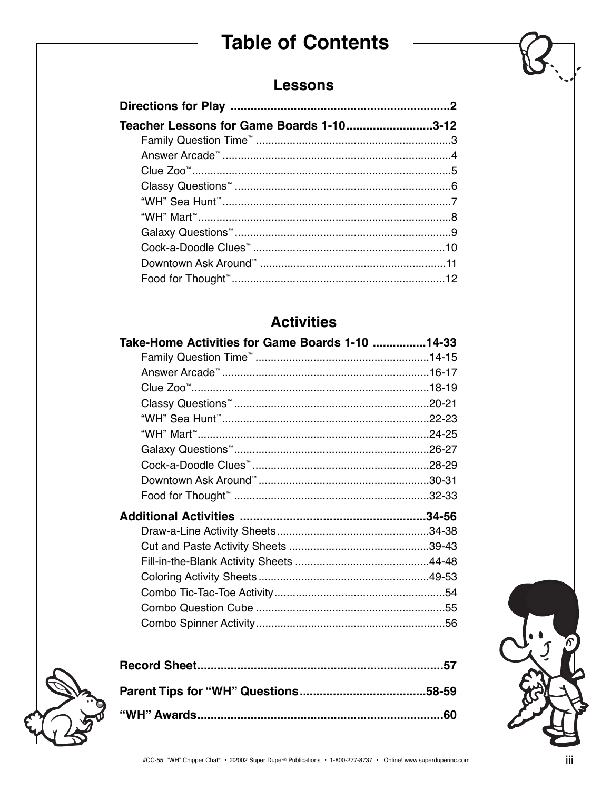## **Table of Contents**

### **Lessons**

| Teacher Lessons for Game Boards 1-103-12 |  |
|------------------------------------------|--|
|                                          |  |
|                                          |  |
|                                          |  |
|                                          |  |
|                                          |  |
|                                          |  |
|                                          |  |
|                                          |  |
|                                          |  |
|                                          |  |

### **Activities**

| Take-Home Activities for Game Boards 1-10 14-33 |  |
|-------------------------------------------------|--|
|                                                 |  |
|                                                 |  |
|                                                 |  |
|                                                 |  |
|                                                 |  |
|                                                 |  |
|                                                 |  |
|                                                 |  |
|                                                 |  |
|                                                 |  |
|                                                 |  |
|                                                 |  |
|                                                 |  |
|                                                 |  |
|                                                 |  |
|                                                 |  |
|                                                 |  |
|                                                 |  |